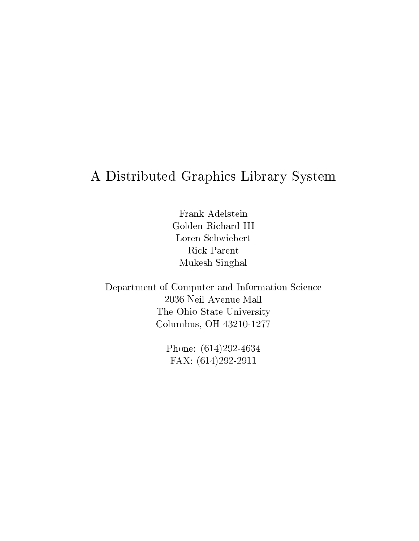# A Distributed Graphics Library System

Frank Adelstein Golden Richard III Loren Schwiebert Rick Parent Mukesh Singhal

Department of Computer and Information Science 2036 Neil Avenue Mall The Ohio State University Columbus, OH 43210-1277

> Phone: (614)292-4634 FAX: (614)292-2911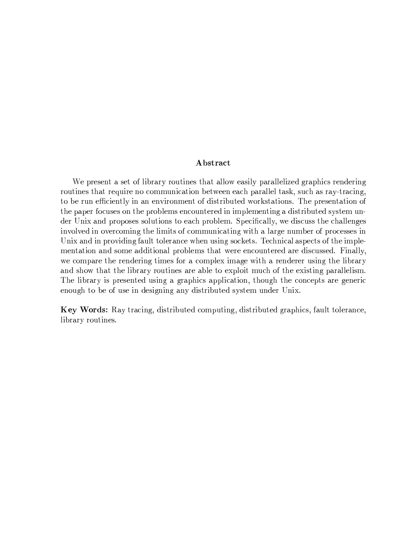#### Abstract

We present a set of library routines that allow easily parallelized graphics rendering routines that require no communication between each parallel task, such as ray-tracing, to be run efficiently in an environment of distributed workstations. The presentation of the paper focuses on the problems encountered in implementing a distributed system under Unix and proposes solutions to each problem. Specifically, we discuss the challenges involved in overcoming the limits of communicating with a large number of processes in Unix and in providing fault tolerance when using sockets. Technical aspects of the implementation and some additional problems that were encountered are discussed. Finally, we compare the rendering times for a complex image with a renderer using the library and show that the library routines are able to exploit much of the existing parallelism. The library is presented using a graphics application, though the concepts are generic enough to be of use in designing any distributed system under Unix.

Key Words: Ray tracing, distributed computing, distributed graphics, fault tolerance, library routines.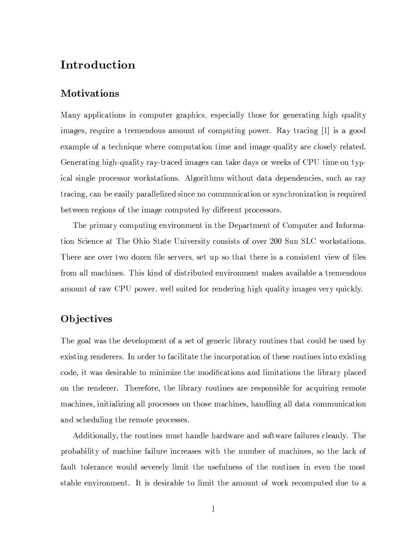## Introduction

### **Motivations**

Many applications in computer graphics, especially those for generating high quality images, require a tremendous amount of computing power. Ray tracing [1] is a good example of a technique where computation time and image quality are closely related. Generating high-quality ray-traced images can take days or weeks of CPU time on typical single processor workstations. Algorithms without data dependencies, such as ray tracing, can be easily parallelized since no communication or synchronization is required between regions of the image computed by different processors.

The primary computing environment in the Department of Computer and Information Science at The Ohio State University consists of over 200 Sun SLC workstations. There are over two dozen file servers, set up so that there is a consistent view of files from all machines. This kind of distributed environment makes available a tremendous amount of raw CPU power, well suited for rendering high quality images very quickly.

## **Objectives**

The goal was the development of a set of generic library routines that could be used by existing renderers. In order to facilitate the incorporation of these routines into existing code, it was desirable to minimize the modifications and limitations the library placed on the renderer. Therefore, the library routines are responsible for acquiring remote machines, initializing all processes on those machines, handling all data communication and scheduling the remote processes.

Additionally, the routines must handle hardware and software failures cleanly. The probability of machine failure increases with the number of machines, so the lack of fault tolerance would severely limit the usefulness of the routines in even the most stable environment. It is desirable to limit the amount of work recomputed due to a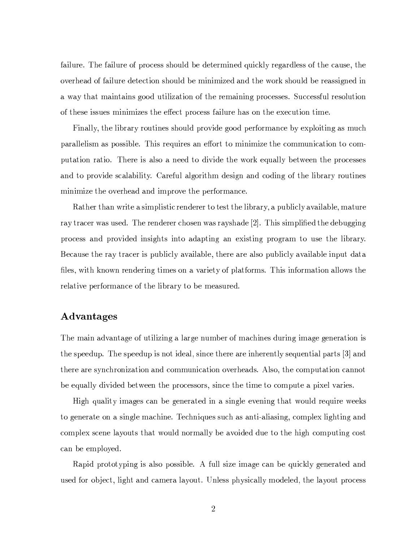failure. The failure of process should be determined quickly regardless of the cause, the overhead of failure detection should be minimized and the work should be reassigned in a way that maintains good utilization of the remaining processes. Successful resolution of these issues minimizes the effect process failure has on the execution time.

Finally, the library routines should provide good performance by exploiting as much parallelism as possible. This requires an effort to minimize the communication to computation ratio. There is also a need to divide the work equally between the processes and to provide scalability. Careful algorithm design and coding of the library routines minimize the overhead and improve the performance.

Rather than write a simplistic renderer to test the library, a publicly available, mature ray tracer was used. The renderer chosen was rayshade [2]. This simplified the debugging process and provided insights into adapting an existing program to use the library. Because the ray tracer is publicly available, there are also publicly available input data files, with known rendering times on a variety of platforms. This information allows the relative performance of the library to be measured.

### Advantages

The main advantage of utilizing a large number of machines during image generation is the speedup. The speedup is not ideal, since there are inherently sequential parts [3] and there are synchronization and communication overheads. Also, the computation cannot be equally divided between the processors, since the time to compute a pixel varies.

High quality images can be generated in a single evening that would require weeks to generate on a single machine. Techniques such as anti-aliasing, complex lighting and complex scene layouts that would normally be avoided due to the high computing cost can be employed.

Rapid prototyping is also possible. A full size image can be quickly generated and used for object, light and camera layout. Unless physically modeled, the layout process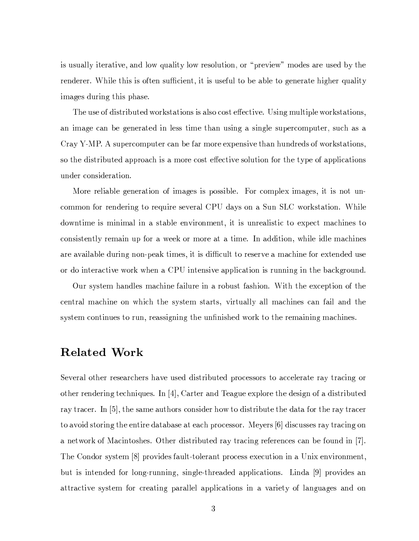is usually iterative, and low quality low resolution, or "preview" modes are used by the renderer. While this is often sufficient, it is useful to be able to generate higher quality images during this phase.

The use of distributed workstations is also cost effective. Using multiple workstations, an image can be generated in less time than using a single supercomputer, such as a Cray Y-MP. A supercomputer can be far more expensive than hundreds of workstations, so the distributed approach is a more cost effective solution for the type of applications under consideration.

More reliable generation of images is possible. For complex images, it is not uncommon for rendering to require several CPU days on a Sun SLC workstation. While downtime is minimal in a stable environment, it is unrealistic to expect machines to consistently remain up for a week or more at a time. In addition, while idle machines are available during non-peak times, it is difficult to reserve a machine for extended use or do interactive work when a CPU intensive application is running in the background.

Our system handles machine failure in a robust fashion. With the exception of the central machine on which the system starts, virtually all machines can fail and the system continues to run, reassigning the unfinished work to the remaining machines.

## **Related Work**

Several other researchers have used distributed processors to accelerate ray tracing or other rendering techniques. In [4], Carter and Teague explore the design of a distributed ray tracer. In [5], the same authors consider how to distribute the data for the ray tracer to avoid storing the entire database at each processor. Meyers [6] discusses ray tracing on a network of Macintoshes. Other distributed ray tracing references can be found in [7]. The Condor system [8] provides fault-tolerant process execution in a Unix environment, but is intended for long-running, single-threaded applications. Linda [9] provides an attractive system for creating parallel applications in a variety of languages and on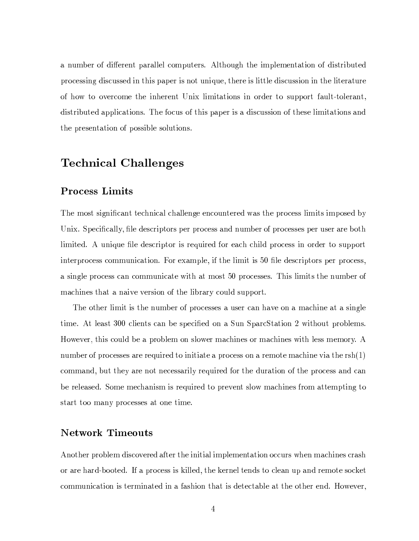a number of different parallel computers. Although the implementation of distributed processing discussed in this paper is not unique, there is little discussion in the literature of how to overcome the inherent Unix limitations in order to support fault-tolerant, distributed applications. The focus of this paper is a discussion of these limitations and the presentation of possible solutions.

## **Technical Challenges**

## **Process Limits**

The most significant technical challenge encountered was the process limits imposed by Unix. Specifically, file descriptors per process and number of processes per user are both limited. A unique file descriptor is required for each child process in order to support interprocess communication. For example, if the limit is 50 file descriptors per process, a single process can communicate with at most 50 processes. This limits the number of machines that a naive version of the library could support.

The other limit is the number of processes a user can have on a machine at a single time. At least 300 clients can be specified on a Sun SparcStation 2 without problems. However, this could be a problem on slower machines or machines with less memory. A number of processes are required to initiate a process on a remote machine via the  $rsh(1)$ command, but they are not necessarily required for the duration of the process and can be released. Some mechanism is required to prevent slow machines from attempting to start too many processes at one time.

## **Network Timeouts**

Another problem discovered after the initial implementation occurs when machines crash or are hard-booted. If a process is killed, the kernel tends to clean up and remote socket communication is terminated in a fashion that is detectable at the other end. However,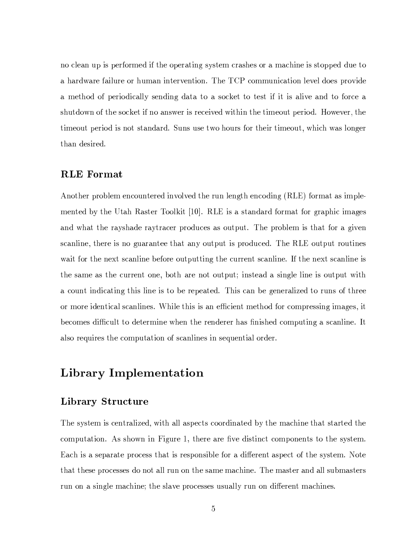no clean up is performed if the operating system crashes or a machine is stopped due to a hardware failure or human intervention. The TCP communication level does provide a method of periodically sending data to a socket to test if it is alive and to force a shutdown of the socket if no answer is received within the timeout period. However, the time out period is not standard. Suns use two hours for their time out, which was longer than desired.

### **RLE** Format

Another problem encountered involved the run length encoding (RLE) format as implemented by the Utah Raster Toolkit [10]. RLE is a standard format for graphic images and what the rayshade raytracer produces as output. The problem is that for a given scanline, there is no guarantee that any output is produced. The RLE output routines wait for the next scanline before outputting the current scanline. If the next scanline is the same as the current one, both are not output; instead a single line is output with a count indicating this line is to be repeated. This can be generalized to runs of three or more identical scanlines. While this is an efficient method for compressing images, it becomes difficult to determine when the renderer has finished computing a scanline. It also requires the computation of scanlines in sequential order.

## **Library Implementation**

### Library Structure

The system is centralized, with all aspects coordinated by the machine that started the computation. As shown in Figure 1, there are five distinct components to the system. Each is a separate process that is responsible for a different aspect of the system. Note that these processes do not all run on the same machine. The master and all submasters run on a single machine; the slave processes usually run on different machines.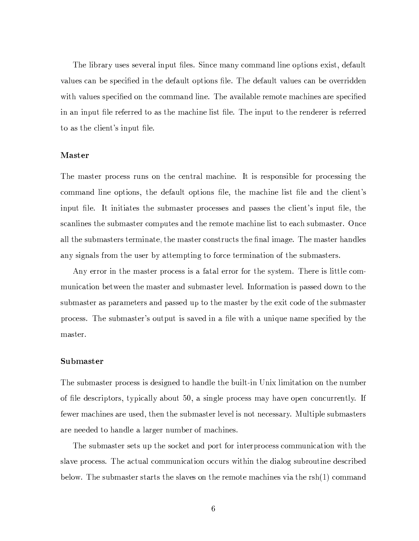The library uses several input files. Since many command line options exist, default values can be specified in the default options file. The default values can be overridden with values specified on the command line. The available remote machines are specified in an input file referred to as the machine list file. The input to the renderer is referred to as the client's input file.

#### Master

The master process runs on the central machine. It is responsible for processing the command line options, the default options file, the machine list file and the client's input file. It initiates the submaster processes and passes the client's input file, the scanding the submaster computes and the remote machine list to each submaster. Once all the submasters terminate, the master constructs the final image. The master handles any signals from the user by attempting to force termination of the submasters.

Any error in the master process is a fatal error for the system. There is little communication between the master and submaster level. Information is passed down to the submaster as parameters and passed up to the master by the exit code of the submaster process. The submaster's output is saved in a file with a unique name specified by the master.

#### Submaster

The submaster process is designed to handle the built-in Unix limitation on the number of file descriptors, typically about 50, a single process may have open concurrently. If fewer machines are used, then the submaster level is not necessary. Multiple submasters are needed to handle a larger number of machines.

The submaster sets up the socket and port for interprocess communication with the slave process. The actual communication occurs within the dialog subroutine described below. The submaster starts the slaves on the remote machines via the  $rsh(1)$  command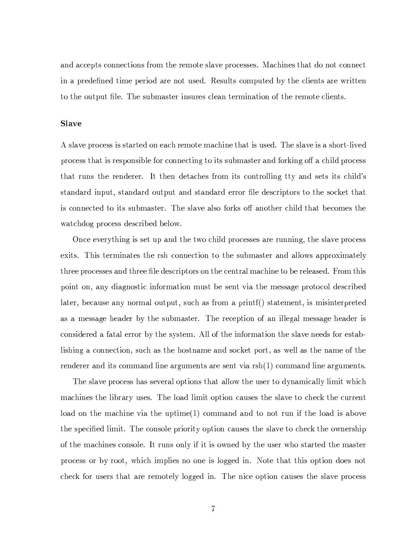and accepts connections from the remote slave processes. Machines that do not connect in a predefined time period are not used. Results computed by the clients are written to the output file. The submaster insures clean termination of the remote clients.

#### Slave

A slave process is started on each remote machine that is used. The slave is a short-lived process that is responsible for connecting to its submaster and forking off a child process that runs the renderer. It then detaches from its controlling tty and sets its child's standard input, standard output and standard error file descriptors to the socket that is connected to its submaster. The slave also forks off another child that becomes the watchdog process described below.

Once everything is set up and the two child processes are running, the slave process exits. This terminates the rsh connection to the submaster and allows approximately three processes and three file descriptors on the central machine to be released. From this point on, any diagnostic information must be sent via the message protocol described later, because any normal output, such as from a printf() statement, is misinterpreted as a message header by the submaster. The reception of an illegal message header is considered a fatal error by the system. All of the information the slave needs for establishing a connection, such as the hostname and socket port, as well as the name of the renderer and its command line arguments are sent via  $rsh(1)$  command line arguments.

The slave process has several options that allow the user to dynamically limit which machines the library uses. The load limit option causes the slave to check the current load on the machine via the uptime $(1)$  command and to not run if the load is above the specified limit. The console priority option causes the slave to check the ownership of the machines console. It runs only if it is owned by the user who started the master process or by root, which implies no one is logged in. Note that this option does not check for users that are remotely logged in. The nice option causes the slave process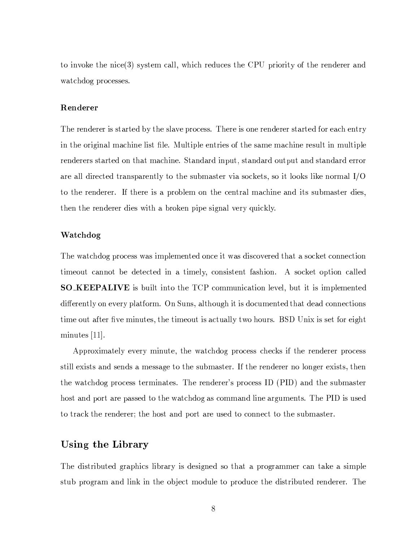to invoke the nice(3) system call, which reduces the CPU priority of the renderer and watchdog processes.

#### Renderer

The renderer is started by the slave process. There is one renderer started for each entry in the original machine list file. Multiple entries of the same machine result in multiple renderers started on that machine. Standard input, standard output and standard error are all directed transparently to the submaster via sockets, so it looks like normal  $I/O$ to the renderer. If there is a problem on the central machine and its submaster dies, then the renderer dies with a broken pipe signal very quickly.

#### Watchdog

The watchdog process was implemented once it was discovered that a socket connection timeout cannot be detected in a timely, consistent fashion. A socket option called **SO\_KEEPALIVE** is built into the TCP communication level, but it is implemented differently on every platform. On Suns, although it is documented that dead connections time out after five minutes, the timeout is actually two hours. BSD Unix is set for eight  $minutes [11].$ 

Approximately every minute, the watchdog process checks if the renderer process still exists and sends a message to the submaster. If the renderer no longer exists, then the watchdog process terminates. The renderer's process ID (PID) and the submaster host and port are passed to the watchdog as command line arguments. The PID is used to track the renderer; the host and port are used to connect to the submaster.

### Using the Library

The distributed graphics library is designed so that a programmer can take a simple stub program and link in the object module to produce the distributed renderer. The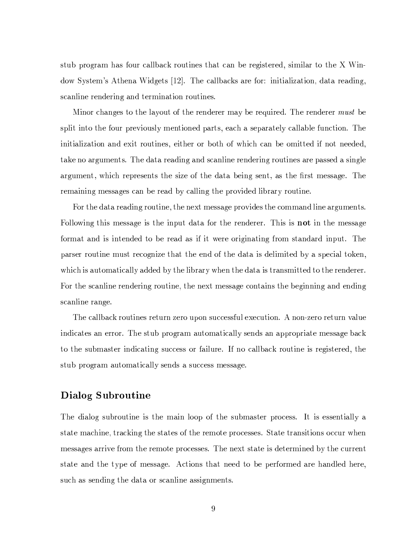stub program has four callback routines that can be registered, similar to the X Window System's Athena Widgets [12]. The callbacks are for: initialization, data reading, scanline rendering and termination routines.

Minor changes to the layout of the renderer may be required. The renderer must be split into the four previously mentioned parts, each a separately callable function. The initialization and exit routines, either or both of which can be omitted if not needed, take no arguments. The data reading and scanline rendering routines are passed a single argument, which represents the size of the data being sent, as the first message. The remaining messages can be read by calling the provided library routine.

For the data reading routine, the next message provides the command line arguments. Following this message is the input data for the renderer. This is not in the message format and is intended to be read as if it were originating from standard input. The parser routine must recognize that the end of the data is delimited by a special token, which is automatically added by the library when the data is transmitted to the renderer. For the scanline rendering routine, the next message contains the beginning and ending scanline range.

The callback routines return zero upon successful execution. A non-zero return value indicates an error. The stub program automatically sends an appropriate message back to the submaster indicating success or failure. If no callback routine is registered, the stub program automatically sends a success message.

## Dialog Subroutine

The dialog subroutine is the main loop of the submaster process. It is essentially a state machine, tracking the states of the remote processes. State transitions occur when messages arrive from the remote processes. The next state is determined by the current state and the type of message. Actions that need to be performed are handled here, such as sending the data or scanline assignments.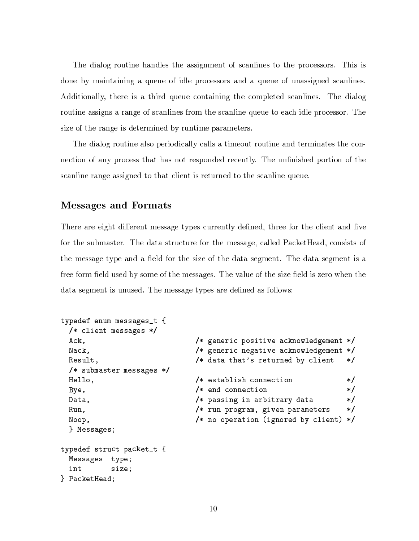The dialog routine handles the assignment of scanlines to the processors. This is done by maintaining a queue of idle processors and a queue of unassigned scanlines. Additionally, there is a third queue containing the completed scanlines. The dialog routine assigns a range of scanlines from the scanline queue to each idle processor. The size of the range is determined by runtime parameters.

The dialog routine also periodically calls a timeout routine and terminates the connection of any process that has not responded recently. The unfinished portion of the scanline range assigned to that client is returned to the scanline queue.

#### Messages and Formats

There are eight different message types currently defined, three for the client and five for the submaster. The data structure for the message, called PacketHead, consists of the message type and a field for the size of the data segment. The data segment is a free form field used by some of the messages. The value of the size field is zero when the data segment is unused. The message types are defined as follows:

```
typedef enum messages_t {
  /* client messages *//* generic positive acknowledgement */
  Ack.
                                 /* generic negative acknowledgement */
  Nack,
                                 /* data that's returned by client
  Result,
                                                                       ×/
  /* submaster messages *//* establish connection
  Hello,
                                                                       \ast/Bye,
                                 /* end connection
                                                                       ×/
  Data.
                                 /* passing in arbitrary data
                                                                       \ast//* run program, given parameters
  Run,
                                                                       \ast//* no operation (ignored by client) */
  Noop,
  } Messages;
typedef struct packet_t {
  Messages type;
  int
            size;
} PacketHead;
```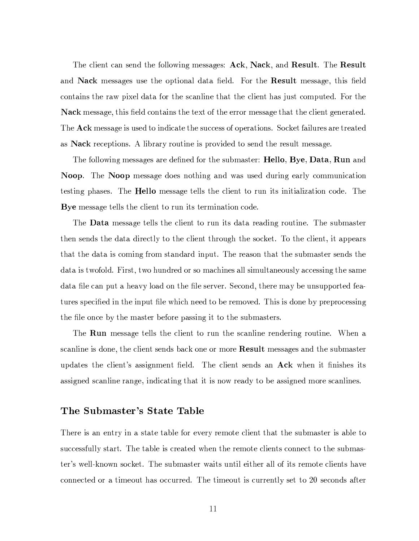The client can send the following messages: Ack, Nack, and Result. The Result and **Nack** messages use the optional data field. For the **Result** message, this field contains the raw pixel data for the scanline that the client has just computed. For the Nack message, this field contains the text of the error message that the client generated. The Ack message is used to indicate the success of operations. Socket failures are treated as Nack receptions. A library routine is provided to send the result message.

The following messages are defined for the submaster: Hello, Bye, Data, Run and **Noop.** The **Noop** message does nothing and was used during early communication testing phases. The **Hello** message tells the client to run its initialization code. The Bye message tells the client to run its termination code.

The **Data** message tells the client to run its data reading routine. The submaster then sends the data directly to the client through the socket. To the client, it appears that the data is coming from standard input. The reason that the submaster sends the data is twofold. First, two hundred or so machines all simultaneously accessing the same data file can put a heavy load on the file server. Second, there may be unsupported features specified in the input file which need to be removed. This is done by preprocessing the file once by the master before passing it to the submasters.

The **Run** message tells the client to run the scanline rendering routine. When a scanline is done, the client sends back one or more **Result** messages and the submaster updates the client's assignment field. The client sends an Ack when it finishes its assigned scanline range, indicating that it is now ready to be assigned more scanlines.

### The Submaster's State Table

There is an entry in a state table for every remote client that the submaster is able to successfully start. The table is created when the remote clients connect to the submaster's well-known socket. The submaster waits until either all of its remote clients have connected or a timeout has occurred. The timeout is currently set to 20 seconds after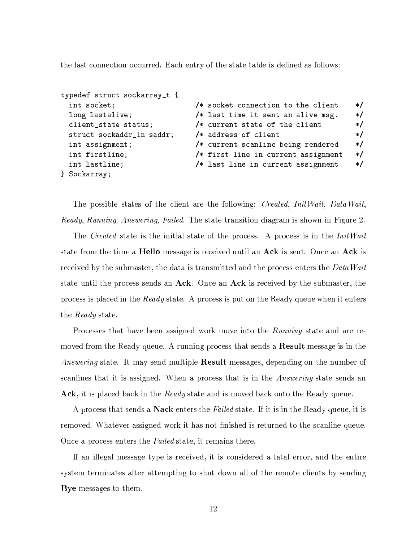the last connection occurred. Each entry of the state table is defined as follows:

```
typedef struct sockarray_t {
  int socket;
                                   /* socket connection to the client
                                                                            \star/long lastalive;
                                   /* last time it sent an alive msg.
                                                                            \star//* current state of the client
  client_state status;
                                                                            \star/struct sockaddr_in saddr;
                                   /* address of client
                                                                            \star//* current scanline being rendered
  int assignment;
                                                                            \star//* first line in current assignment
  int firstline;
                                                                             \star//* last line in current assignment
  int lastline;
                                                                            \star/
} Sockarray;
```
The possible states of the client are the following: Created, Init Wait, Data Wait, *Ready, Running, Answering, Failed.* The state transition diagram is shown in Figure 2.

The Created state is the initial state of the process. A process is in the Init Wait state from the time a Hello message is received until an Ack is sent. Once an Ack is received by the submaster, the data is transmitted and the process enters the Data Wait state until the process sends an Ack. Once an Ack is received by the submaster, the process is placed in the Ready state. A process is put on the Ready queue when it enters the *Ready* state.

Processes that have been assigned work move into the Running state and are removed from the Ready queue. A running process that sends a **Result** message is in the *Answering* state. It may send multiple **Result** messages, depending on the number of scanding state is assigned. When a process that is in the *Answering* state sends an Ack, it is placed back in the Ready state and is moved back onto the Ready queue.

A process that sends a **Nack** enters the *Failed* state. If it is in the Ready queue, it is removed. Whatever assigned work it has not finished is returned to the scanline queue. Once a process enters the Failed state, it remains there.

If an illegal message type is received, it is considered a fatal error, and the entire system terminates after attempting to shut down all of the remote clients by sending Bye messages to them.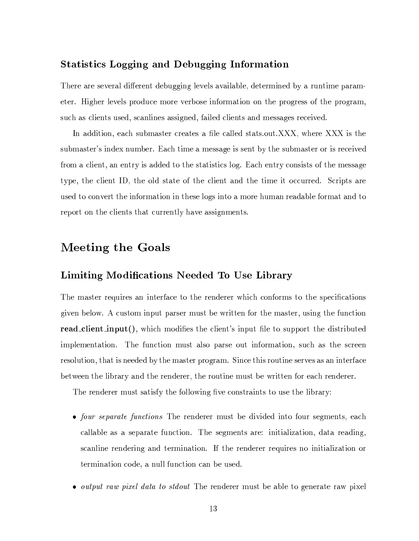### **Statistics Logging and Debugging Information**

There are several different debugging levels available, determined by a runtime parameter. Higher levels produce more verbose information on the progress of the program, such as clients used, scanlines assigned, failed clients and messages received.

In addition, each submaster creates a file called stats.out.XXX, where XXX is the submaster's index number. Each time a message is sent by the submaster or is received from a client, an entry is added to the statistics log. Each entry consists of the message type, the client ID, the old state of the client and the time it occurred. Scripts are used to convert the information in these logs into a more human readable format and to report on the clients that currently have assignments.

## Meeting the Goals

## Limiting Modifications Needed To Use Library

The master requires an interface to the renderer which conforms to the specifications given below. A custom input parser must be written for the master, using the function **read\_client\_input()**, which modifies the client's input file to support the distributed implementation. The function must also parse out information, such as the screen resolution, that is needed by the master program. Since this routine serves as an interface between the library and the renderer, the routine must be written for each renderer.

The renderer must satisfy the following five constraints to use the library:

- four separate functions The renderer must be divided into four segments, each callable as a separate function. The segments are: initialization, data reading, scanline rendering and termination. If the renderer requires no initialization or termination code, a null function can be used.
- *output raw pixel data to stdout* The renderer must be able to generate raw pixel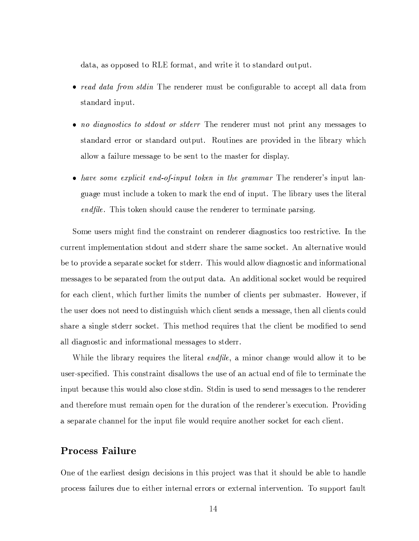data, as opposed to RLE format, and write it to standard output.

- read data from stdin The renderer must be configurable to accept all data from standard input.
- no diagnostics to stdout or stderr The renderer must not print any messages to standard error or standard output. Routines are provided in the library which allow a failure message to be sent to the master for display.
- have some explicit end-of-input token in the grammar. The renderer's input language must include a token to mark the end of input. The library uses the literal *endfile*. This token should cause the renderer to terminate parsing.

Some users might find the constraint on renderer diagnostics too restrictive. In the current implementation stdout and stderr share the same socket. An alternative would be to provide a separate socket for stderr. This would allow diagnostic and informational messages to be separated from the output data. An additional socket would be required for each client, which further limits the number of clients per submaster. However, if the user does not need to distinguish which client sends a message, then all clients could share a single stderr socket. This method requires that the client be modified to send all diagnostic and informational messages to stderr.

While the library requires the literal *endfile*, a minor change would allow it to be user-specified. This constraint disallows the use of an actual end of file to terminate the input because this would also close stdin. Stdin is used to send messages to the renderer and therefore must remain open for the duration of the renderer's execution. Providing a separate channel for the input file would require another socket for each client.

## **Process Failure**

One of the earliest design decisions in this project was that it should be able to handle process failures due to either internal errors or external intervention. To support fault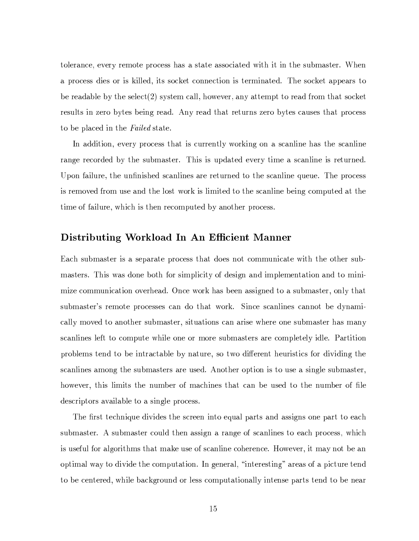tolerance, every remote process has a state associated with it in the submaster. When a process dies or is killed, its socket connection is terminated. The socket appears to be readable by the select(2) system call, however, any attempt to read from that socket results in zero bytes being read. Any read that returns zero bytes causes that process to be placed in the Failed state.

In addition, every process that is currently working on a scanline has the scanline range recorded by the submaster. This is updated every time a scanline is returned. Upon failure, the unfinished scanlines are returned to the scanline queue. The process is removed from use and the lost work is limited to the scanline being computed at the time of failure, which is then recomputed by another process.

### Distributing Workload In An Efficient Manner

Each submaster is a separate process that does not communicate with the other submasters. This was done both for simplicity of design and implementation and to minimize communication overhead. Once work has been assigned to a submaster, only that submaster's remote processes can do that work. Since scanlines cannot be dynamically moved to another submaster, situations can arise where one submaster has many scanlines left to compute while one or more submasters are completely idle. Partition problems tend to be intractable by nature, so two different heuristics for dividing the scanlines among the submasters are used. Another option is to use a single submaster, however, this limits the number of machines that can be used to the number of file descriptors available to a single process.

The first technique divides the screen into equal parts and assigns one part to each submaster. A submaster could then assign a range of scanlines to each process, which is useful for algorithms that make use of scanline coherence. However, it may not be an optimal way to divide the computation. In general, "interesting" areas of a picture tend to be centered, while background or less computationally intense parts tend to be near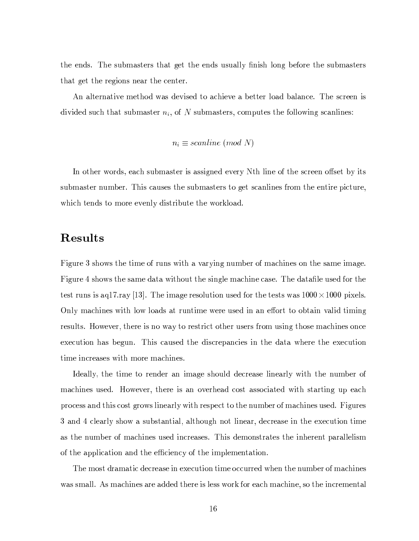the ends. The submasters that get the ends usually finish long before the submasters that get the regions near the center.

An alternative method was devised to achieve a better load balance. The screen is divided such that submaster  $n_i$ , of N submasters, computes the following scanlines:

$$
n_i \equiv scaling \pmod{N}
$$

In other words, each submaster is assigned every Nth line of the screen offset by its submaster number. This causes the submasters to get scanlines from the entire picture, which tends to more evenly distribute the workload.

## Results

Figure 3 shows the time of runs with a varying number of machines on the same image. Figure 4 shows the same data without the single machine case. The datafile used for the test runs is aq17.ray [13]. The image resolution used for the tests was  $1000 \times 1000$  pixels. Only machines with low loads at runtime were used in an effort to obtain valid timing results. However, there is no way to restrict other users from using those machines once execution has begun. This caused the discrepancies in the data where the execution time increases with more machines.

Ideally, the time to render an image should decrease linearly with the number of machines used. However, there is an overhead cost associated with starting up each process and this cost grows linearly with respect to the number of machines used. Figures 3 and 4 clearly show a substantial, although not linear, decrease in the execution time as the number of machines used increases. This demonstrates the inherent parallelism of the application and the efficiency of the implementation.

The most dramatic decrease in execution time occurred when the number of machines was small. As machines are added there is less work for each machine, so the incremental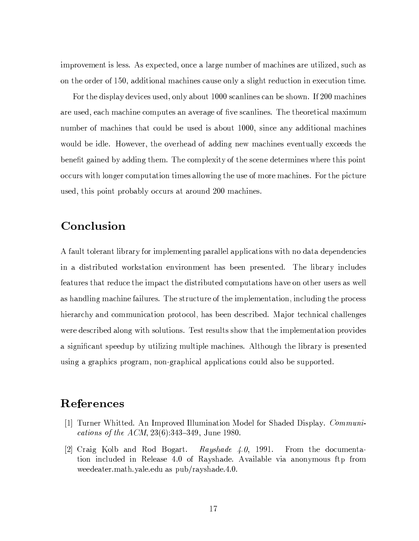improvement is less. As expected, once a large number of machines are utilized, such as on the order of 150, additional machines cause only a slight reduction in execution time.

For the display devices used, only about 1000 scanlines can be shown. If 200 machines are used, each machine computes an average of five scanlines. The theoretical maximum number of machines that could be used is about 1000, since any additional machines would be idle. However, the overhead of adding new machines eventually exceeds the benefit gained by adding them. The complexity of the scene determines where this point occurs with longer computation times allowing the use of more machines. For the picture used, this point probably occurs at around 200 machines.

## Conclusion

A fault tolerant library for implementing parallel applications with no data dependencies in a distributed workstation environment has been presented. The library includes features that reduce the impact the distributed computations have on other users as well as handling machine failures. The structure of the implementation, including the process hierarchy and communication protocol, has been described. Major technical challenges were described along with solutions. Test results show that the implementation provides a significant speedup by utilizing multiple machines. Although the library is presented using a graphics program, non-graphical applications could also be supported.

## References

- [1] Turner Whitted. An Improved Illumination Model for Shaded Display. *Communications of the ACM*,  $23(6):343-349$ , June 1980.
- [2] Craig Kolb and Rod Bogart. *Rayshade 4.0,* 1991. From the documentation included in Release 4.0 of Rayshade. Available via anonymous ftp from weedeater.math.yale.edu as pub/rayshade.4.0.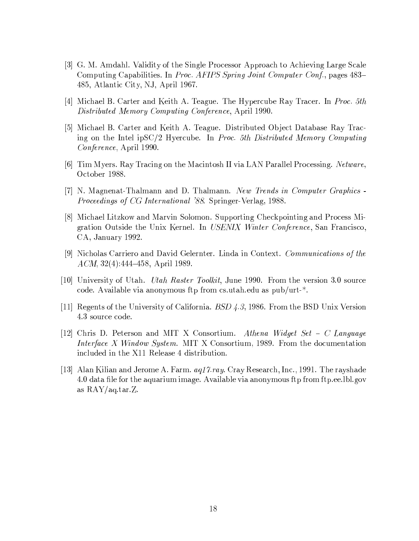- [3] G. M. Amdahl. Validity of the Single Processor Approach to Achieving Large Scale Computing Capabilities. In Proc. AFIPS Spring Joint Computer Conf., pages 483-485, Atlantic City, NJ, April 1967.
- [4] Michael B. Carter and Keith A. Teague. The Hypercube Ray Tracer. In *Proc. 5th* Distributed Memory Computing Conference, April 1990.
- [5] Michael B. Carter and Keith A. Teague. Distributed Object Database Ray Tracing on the Intel ip  $SC/2$  Hyercube. In *Proc. 5th Distributed Memory Computing Conference*, April 1990.
- [6] Tim Myers. Ray Tracing on the Macintosh II via LAN Parallel Processing. Netware, October 1988.
- [7] N. Magnenat-Thalmann and D. Thalmann. New Trends in Computer Graphics -*Proceedings of CG International '88.* Springer-Verlag, 1988.
- [8] Michael Litzkow and Marvin Solomon. Supporting Checkpointing and Process Migration Outside the Unix Kernel. In USENIX Winter Conference, San Francisco, CA, January 1992.
- [9] Nicholas Carriero and David Gelernter. Linda in Context. Communications of the  $ACM$ , 32(4):444-458, April 1989.
- [10] University of Utah. *Utah Raster Toolkit*, June 1990. From the version 3.0 source code. Available via anonymous ftp from cs.utah.edu as pub/urt- $*$ .
- [11] Regents of the University of California.  $BSD\,4.3$ , 1986. From the BSD Unix Version 4.3 source code.
- [12] Chris D. Peterson and MIT X Consortium. Athena Widget Set C Language *Interface X Window System.* MIT X Consortium, 1989. From the documentation included in the X11 Release 4 distribution.
- [13] Alan Kilian and Jerome A. Farm.  $aq17. ray$ . Cray Research, Inc., 1991. The rayshade 4.0 data file for the aquarium image. Available via anonymous ftp from ftp.ee.lbl.gov as  $\rm RAY/aq. \rm tar.Z.$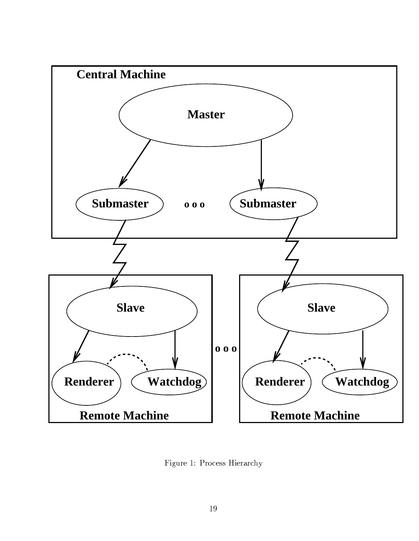

Figure 1: Process Hierarchy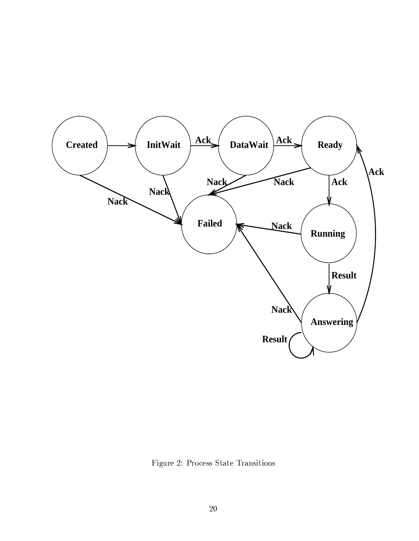

Figure 2: Process State Transitions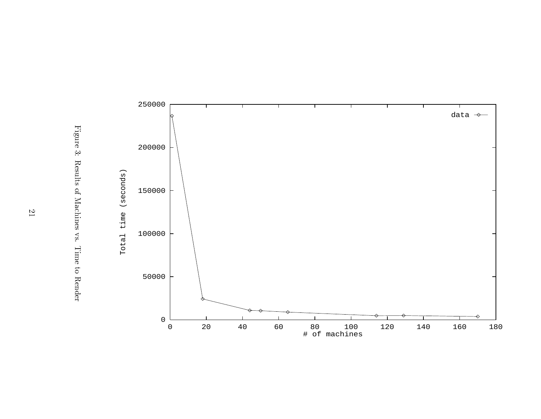

Figure 3: Results of Machines vs. Time to Render